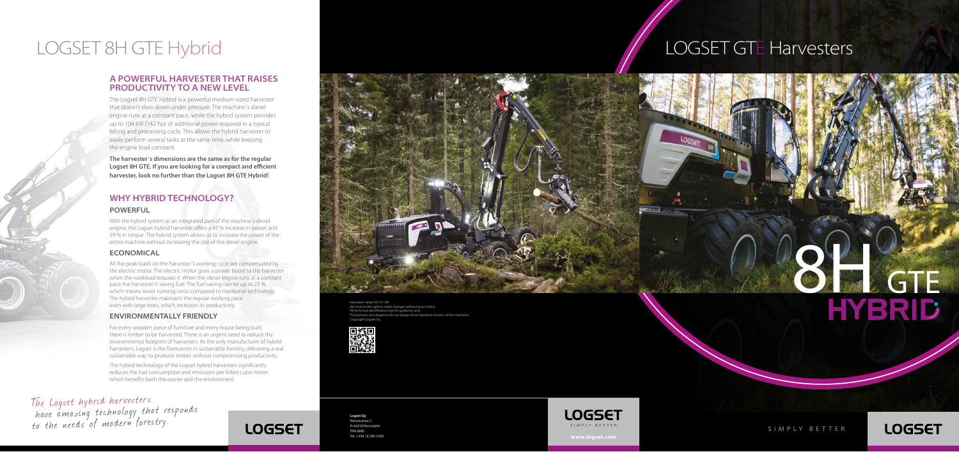**www.logset.com**

Harvester range 05/19 - EN

We reserve the right to make changes w ...<br>All technical specifications are for guidance only  $\frac{1}{2}$  pictures and diagrams do not always show standard versions of the machines. Copyright Logset Oy.



The Logset hybrid harvesters have a mazing tec hnology that responds to the needs of modern forestry.





# LOGSET 8H GTE Hybrid **LOGSET GTE Harvesters**

### **A POWERFUL HARVESTER THAT RAISES PRODUCTIVITY TO A NEW LEVEL**

The Logset 8H GTE Hybrid is a powerful medium-sized harvester that doesn't slow down under pressure. The machine´s diesel engine runs at a constant pace, while the hybrid system provides up to 104 kW (142 hp) of additional power required in a typical felling and processing cycle. This allows the hybrid harvester to easily perform several tasks at the same time, while keeping the engine load constant.

All the peak loads on the harvester's working cycle are compensated by the electric motor. The electric motor gives a power boost to the harvester when the workload requires it. When the diesel engine runs at a constant pace the harvester is saving fuel. The fuel saving can be up to 25 %, which means lower running costs compared to traditional technology The hybrid harvester maintains the regular working pace even with large trees, which increases its productivity.

**The harvester´s dimensions are the same as for the regular Logset 8H GTE. If you are looking for a compact and efficient harvester, look no further than the Logset 8H GTE Hybrid!**

## **WHY HYBRID TECHNOLOGY?**

#### **POWERFUL**

With the hybrid system as an integrated part of the machine´s diesel engine, the Logset hybrid harvester offers a 45 % increase in power and 39 % in torque. The hybrid system allows us to increase the power of the entire machine without increasing the size of the diesel engine.

## **ECONOMICAL**

### **ENVIRONMENTALLY FRIENDLY**

For every wooden piece of furniture and every house being built, there is timber to be harvested. There is an urgent need to reduce the environmental footprint of harvesters. As the only manufacturer of hybrid harvesters, Logset is the forerunner in sustainable forestry, delivering a real sustainable way to produce timber without compromising productivity.

The hybrid technology of the Logset hybrid harvesters significantly reduces the fuel consumption and emissions per felled cubic meter, which benefits both the owner and the environment.





**Logset Oy** Hännisentie 2 FI-66530 Koivulaht **FINLAND** Tel. +358 10 286 3200

SIMPLY BET TER

**LOGSET**